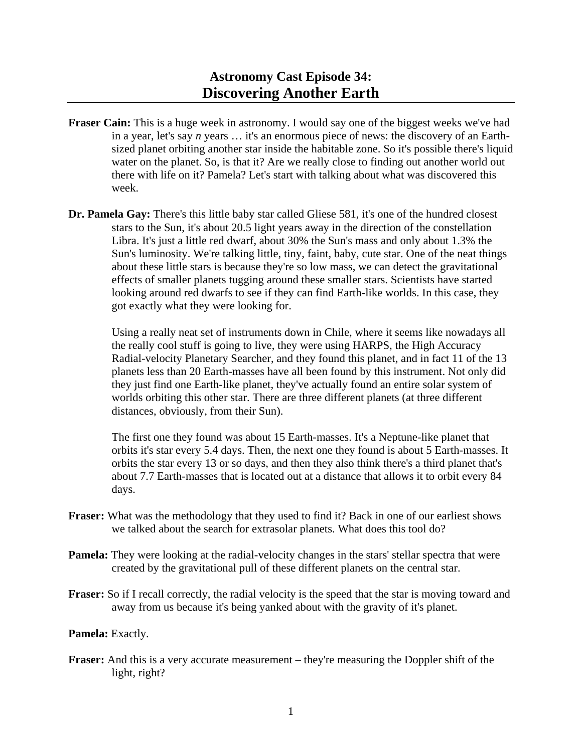- **Fraser Cain:** This is a huge week in astronomy. I would say one of the biggest weeks we've had in a year, let's say *n* years … it's an enormous piece of news: the discovery of an Earthsized planet orbiting another star inside the habitable zone. So it's possible there's liquid water on the planet. So, is that it? Are we really close to finding out another world out there with life on it? Pamela? Let's start with talking about what was discovered this week.
- **Dr. Pamela Gay:** There's this little baby star called Gliese 581, it's one of the hundred closest stars to the Sun, it's about 20.5 light years away in the direction of the constellation Libra. It's just a little red dwarf, about 30% the Sun's mass and only about 1.3% the Sun's luminosity. We're talking little, tiny, faint, baby, cute star. One of the neat things about these little stars is because they're so low mass, we can detect the gravitational effects of smaller planets tugging around these smaller stars. Scientists have started looking around red dwarfs to see if they can find Earth-like worlds. In this case, they got exactly what they were looking for.

 Using a really neat set of instruments down in Chile, where it seems like nowadays all the really cool stuff is going to live, they were using HARPS, the High Accuracy Radial-velocity Planetary Searcher, and they found this planet, and in fact 11 of the 13 planets less than 20 Earth-masses have all been found by this instrument. Not only did they just find one Earth-like planet, they've actually found an entire solar system of worlds orbiting this other star. There are three different planets (at three different distances, obviously, from their Sun).

 The first one they found was about 15 Earth-masses. It's a Neptune-like planet that orbits it's star every 5.4 days. Then, the next one they found is about 5 Earth-masses. It orbits the star every 13 or so days, and then they also think there's a third planet that's about 7.7 Earth-masses that is located out at a distance that allows it to orbit every 84 days.

- **Fraser:** What was the methodology that they used to find it? Back in one of our earliest shows we talked about the search for extrasolar planets. What does this tool do?
- **Pamela:** They were looking at the radial-velocity changes in the stars' stellar spectra that were created by the gravitational pull of these different planets on the central star.
- **Fraser:** So if I recall correctly, the radial velocity is the speed that the star is moving toward and away from us because it's being yanked about with the gravity of it's planet.

## **Pamela:** Exactly.

**Fraser:** And this is a very accurate measurement – they're measuring the Doppler shift of the light, right?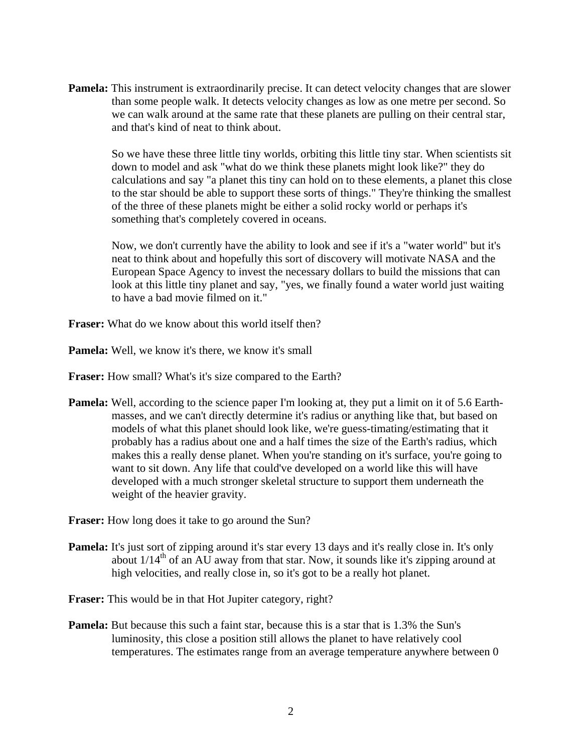**Pamela:** This instrument is extraordinarily precise. It can detect velocity changes that are slower than some people walk. It detects velocity changes as low as one metre per second. So we can walk around at the same rate that these planets are pulling on their central star, and that's kind of neat to think about.

 So we have these three little tiny worlds, orbiting this little tiny star. When scientists sit down to model and ask "what do we think these planets might look like?" they do calculations and say "a planet this tiny can hold on to these elements, a planet this close to the star should be able to support these sorts of things." They're thinking the smallest of the three of these planets might be either a solid rocky world or perhaps it's something that's completely covered in oceans.

 Now, we don't currently have the ability to look and see if it's a "water world" but it's neat to think about and hopefully this sort of discovery will motivate NASA and the European Space Agency to invest the necessary dollars to build the missions that can look at this little tiny planet and say, "yes, we finally found a water world just waiting to have a bad movie filmed on it."

**Fraser:** What do we know about this world itself then?

**Pamela:** Well, we know it's there, we know it's small

**Fraser:** How small? What's it's size compared to the Earth?

**Pamela:** Well, according to the science paper I'm looking at, they put a limit on it of 5.6 Earthmasses, and we can't directly determine it's radius or anything like that, but based on models of what this planet should look like, we're guess-timating/estimating that it probably has a radius about one and a half times the size of the Earth's radius, which makes this a really dense planet. When you're standing on it's surface, you're going to want to sit down. Any life that could've developed on a world like this will have developed with a much stronger skeletal structure to support them underneath the weight of the heavier gravity.

**Fraser:** How long does it take to go around the Sun?

**Pamela:** It's just sort of zipping around it's star every 13 days and it's really close in. It's only about  $1/14<sup>th</sup>$  of an AU away from that star. Now, it sounds like it's zipping around at high velocities, and really close in, so it's got to be a really hot planet.

**Fraser:** This would be in that Hot Jupiter category, right?

**Pamela:** But because this such a faint star, because this is a star that is 1.3% the Sun's luminosity, this close a position still allows the planet to have relatively cool temperatures. The estimates range from an average temperature anywhere between 0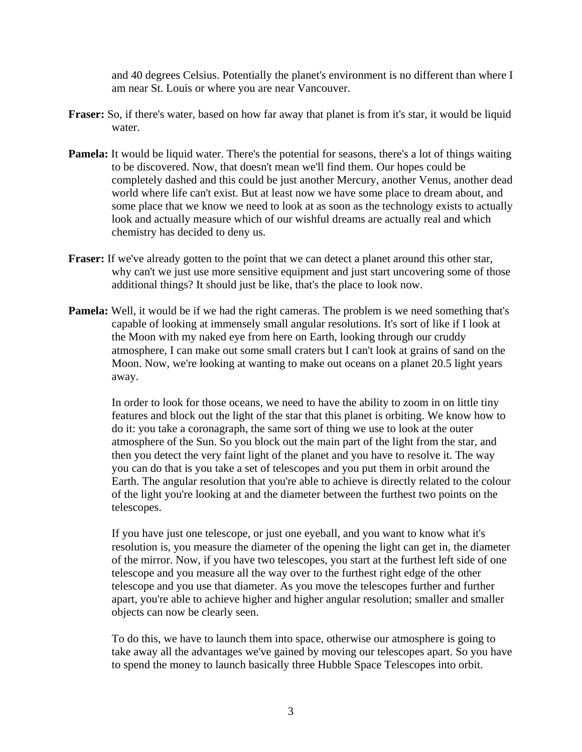and 40 degrees Celsius. Potentially the planet's environment is no different than where I am near St. Louis or where you are near Vancouver.

- **Fraser:** So, if there's water, based on how far away that planet is from it's star, it would be liquid water.
- **Pamela:** It would be liquid water. There's the potential for seasons, there's a lot of things waiting to be discovered. Now, that doesn't mean we'll find them. Our hopes could be completely dashed and this could be just another Mercury, another Venus, another dead world where life can't exist. But at least now we have some place to dream about, and some place that we know we need to look at as soon as the technology exists to actually look and actually measure which of our wishful dreams are actually real and which chemistry has decided to deny us.
- **Fraser:** If we've already gotten to the point that we can detect a planet around this other star, why can't we just use more sensitive equipment and just start uncovering some of those additional things? It should just be like, that's the place to look now.
- **Pamela:** Well, it would be if we had the right cameras. The problem is we need something that's capable of looking at immensely small angular resolutions. It's sort of like if I look at the Moon with my naked eye from here on Earth, looking through our cruddy atmosphere, I can make out some small craters but I can't look at grains of sand on the Moon. Now, we're looking at wanting to make out oceans on a planet 20.5 light years away.

 In order to look for those oceans, we need to have the ability to zoom in on little tiny features and block out the light of the star that this planet is orbiting. We know how to do it: you take a coronagraph, the same sort of thing we use to look at the outer atmosphere of the Sun. So you block out the main part of the light from the star, and then you detect the very faint light of the planet and you have to resolve it. The way you can do that is you take a set of telescopes and you put them in orbit around the Earth. The angular resolution that you're able to achieve is directly related to the colour of the light you're looking at and the diameter between the furthest two points on the telescopes.

 If you have just one telescope, or just one eyeball, and you want to know what it's resolution is, you measure the diameter of the opening the light can get in, the diameter of the mirror. Now, if you have two telescopes, you start at the furthest left side of one telescope and you measure all the way over to the furthest right edge of the other telescope and you use that diameter. As you move the telescopes further and further apart, you're able to achieve higher and higher angular resolution; smaller and smaller objects can now be clearly seen.

 To do this, we have to launch them into space, otherwise our atmosphere is going to take away all the advantages we've gained by moving our telescopes apart. So you have to spend the money to launch basically three Hubble Space Telescopes into orbit.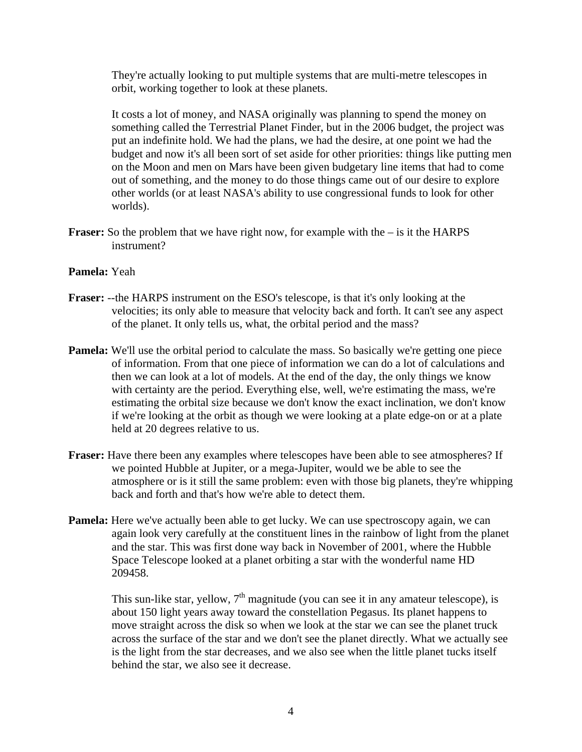They're actually looking to put multiple systems that are multi-metre telescopes in orbit, working together to look at these planets.

 It costs a lot of money, and NASA originally was planning to spend the money on something called the Terrestrial Planet Finder, but in the 2006 budget, the project was put an indefinite hold. We had the plans, we had the desire, at one point we had the budget and now it's all been sort of set aside for other priorities: things like putting men on the Moon and men on Mars have been given budgetary line items that had to come out of something, and the money to do those things came out of our desire to explore other worlds (or at least NASA's ability to use congressional funds to look for other worlds).

**Fraser:** So the problem that we have right now, for example with the – is it the HARPS instrument?

## **Pamela:** Yeah

- **Fraser:** --the HARPS instrument on the ESO's telescope, is that it's only looking at the velocities; its only able to measure that velocity back and forth. It can't see any aspect of the planet. It only tells us, what, the orbital period and the mass?
- **Pamela:** We'll use the orbital period to calculate the mass. So basically we're getting one piece of information. From that one piece of information we can do a lot of calculations and then we can look at a lot of models. At the end of the day, the only things we know with certainty are the period. Everything else, well, we're estimating the mass, we're estimating the orbital size because we don't know the exact inclination, we don't know if we're looking at the orbit as though we were looking at a plate edge-on or at a plate held at 20 degrees relative to us.
- **Fraser:** Have there been any examples where telescopes have been able to see atmospheres? If we pointed Hubble at Jupiter, or a mega-Jupiter, would we be able to see the atmosphere or is it still the same problem: even with those big planets, they're whipping back and forth and that's how we're able to detect them.
- **Pamela:** Here we've actually been able to get lucky. We can use spectroscopy again, we can again look very carefully at the constituent lines in the rainbow of light from the planet and the star. This was first done way back in November of 2001, where the Hubble Space Telescope looked at a planet orbiting a star with the wonderful name HD 209458.

This sun-like star, yellow,  $7<sup>th</sup>$  magnitude (you can see it in any amateur telescope), is about 150 light years away toward the constellation Pegasus. Its planet happens to move straight across the disk so when we look at the star we can see the planet truck across the surface of the star and we don't see the planet directly. What we actually see is the light from the star decreases, and we also see when the little planet tucks itself behind the star, we also see it decrease.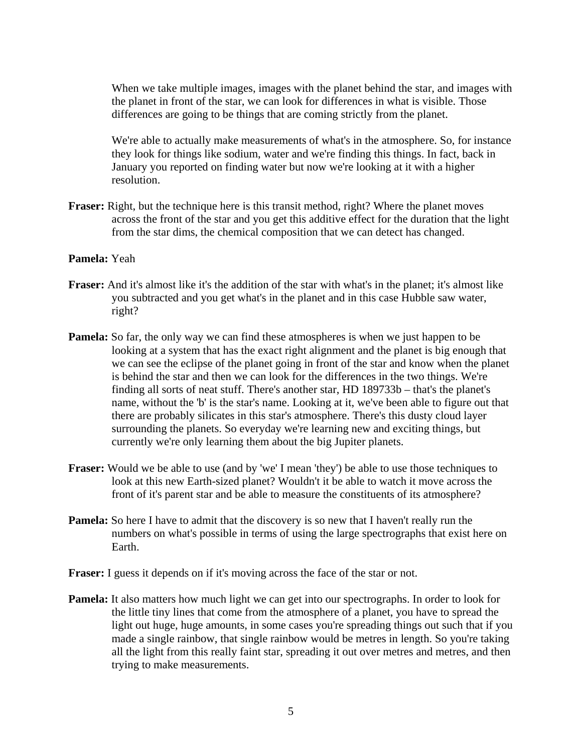When we take multiple images, images with the planet behind the star, and images with the planet in front of the star, we can look for differences in what is visible. Those differences are going to be things that are coming strictly from the planet.

 We're able to actually make measurements of what's in the atmosphere. So, for instance they look for things like sodium, water and we're finding this things. In fact, back in January you reported on finding water but now we're looking at it with a higher resolution.

**Fraser:** Right, but the technique here is this transit method, right? Where the planet moves across the front of the star and you get this additive effect for the duration that the light from the star dims, the chemical composition that we can detect has changed.

## **Pamela:** Yeah

- **Fraser:** And it's almost like it's the addition of the star with what's in the planet; it's almost like you subtracted and you get what's in the planet and in this case Hubble saw water, right?
- **Pamela:** So far, the only way we can find these atmospheres is when we just happen to be looking at a system that has the exact right alignment and the planet is big enough that we can see the eclipse of the planet going in front of the star and know when the planet is behind the star and then we can look for the differences in the two things. We're finding all sorts of neat stuff. There's another star, HD 189733b – that's the planet's name, without the 'b' is the star's name. Looking at it, we've been able to figure out that there are probably silicates in this star's atmosphere. There's this dusty cloud layer surrounding the planets. So everyday we're learning new and exciting things, but currently we're only learning them about the big Jupiter planets.
- **Fraser:** Would we be able to use (and by 'we' I mean 'they') be able to use those techniques to look at this new Earth-sized planet? Wouldn't it be able to watch it move across the front of it's parent star and be able to measure the constituents of its atmosphere?
- **Pamela:** So here I have to admit that the discovery is so new that I haven't really run the numbers on what's possible in terms of using the large spectrographs that exist here on Earth.
- **Fraser:** I guess it depends on if it's moving across the face of the star or not.
- **Pamela:** It also matters how much light we can get into our spectrographs. In order to look for the little tiny lines that come from the atmosphere of a planet, you have to spread the light out huge, huge amounts, in some cases you're spreading things out such that if you made a single rainbow, that single rainbow would be metres in length. So you're taking all the light from this really faint star, spreading it out over metres and metres, and then trying to make measurements.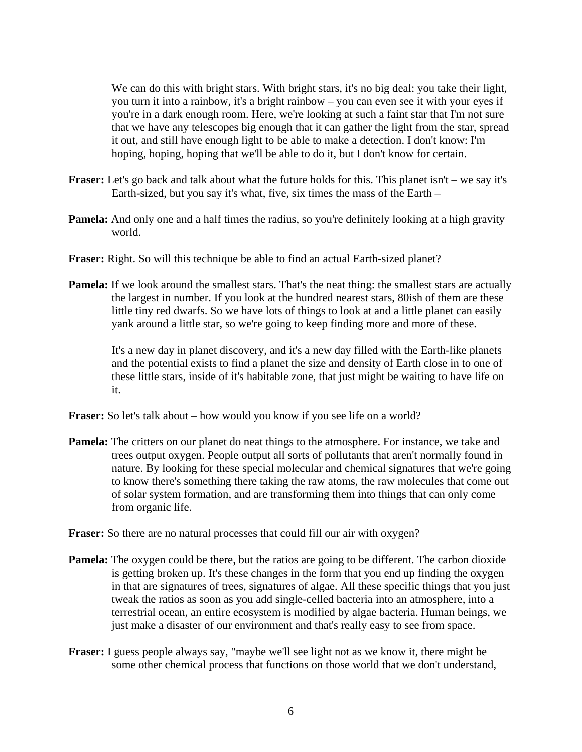We can do this with bright stars. With bright stars, it's no big deal: you take their light, you turn it into a rainbow, it's a bright rainbow – you can even see it with your eyes if you're in a dark enough room. Here, we're looking at such a faint star that I'm not sure that we have any telescopes big enough that it can gather the light from the star, spread it out, and still have enough light to be able to make a detection. I don't know: I'm hoping, hoping, hoping that we'll be able to do it, but I don't know for certain.

- **Fraser:** Let's go back and talk about what the future holds for this. This planet isn't we say it's Earth-sized, but you say it's what, five, six times the mass of the Earth –
- **Pamela:** And only one and a half times the radius, so you're definitely looking at a high gravity world.
- **Fraser:** Right. So will this technique be able to find an actual Earth-sized planet?
- **Pamela:** If we look around the smallest stars. That's the neat thing: the smallest stars are actually the largest in number. If you look at the hundred nearest stars, 80ish of them are these little tiny red dwarfs. So we have lots of things to look at and a little planet can easily yank around a little star, so we're going to keep finding more and more of these.

 It's a new day in planet discovery, and it's a new day filled with the Earth-like planets and the potential exists to find a planet the size and density of Earth close in to one of these little stars, inside of it's habitable zone, that just might be waiting to have life on it.

**Fraser:** So let's talk about – how would you know if you see life on a world?

**Pamela:** The critters on our planet do neat things to the atmosphere. For instance, we take and trees output oxygen. People output all sorts of pollutants that aren't normally found in nature. By looking for these special molecular and chemical signatures that we're going to know there's something there taking the raw atoms, the raw molecules that come out of solar system formation, and are transforming them into things that can only come from organic life.

**Fraser:** So there are no natural processes that could fill our air with oxygen?

- **Pamela:** The oxygen could be there, but the ratios are going to be different. The carbon dioxide is getting broken up. It's these changes in the form that you end up finding the oxygen in that are signatures of trees, signatures of algae. All these specific things that you just tweak the ratios as soon as you add single-celled bacteria into an atmosphere, into a terrestrial ocean, an entire ecosystem is modified by algae bacteria. Human beings, we just make a disaster of our environment and that's really easy to see from space.
- **Fraser:** I guess people always say, "maybe we'll see light not as we know it, there might be some other chemical process that functions on those world that we don't understand,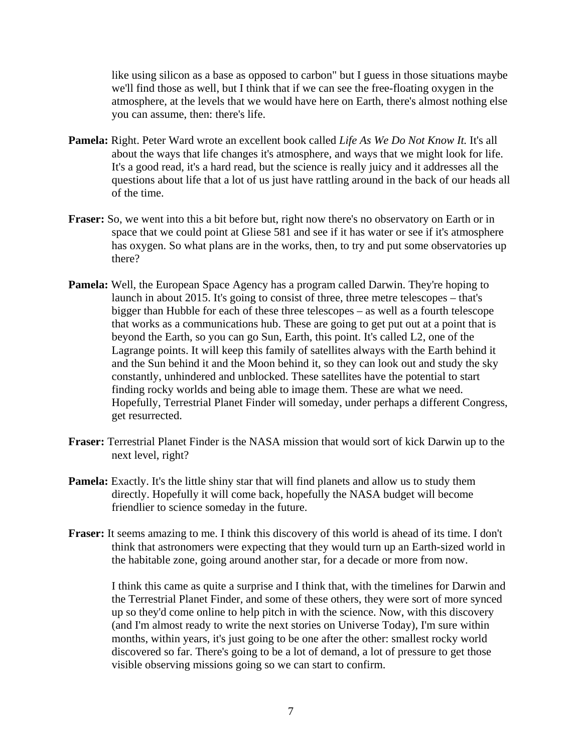like using silicon as a base as opposed to carbon" but I guess in those situations maybe we'll find those as well, but I think that if we can see the free-floating oxygen in the atmosphere, at the levels that we would have here on Earth, there's almost nothing else you can assume, then: there's life.

- **Pamela:** Right. Peter Ward wrote an excellent book called *Life As We Do Not Know It.* It's all about the ways that life changes it's atmosphere, and ways that we might look for life. It's a good read, it's a hard read, but the science is really juicy and it addresses all the questions about life that a lot of us just have rattling around in the back of our heads all of the time.
- **Fraser:** So, we went into this a bit before but, right now there's no observatory on Earth or in space that we could point at Gliese 581 and see if it has water or see if it's atmosphere has oxygen. So what plans are in the works, then, to try and put some observatories up there?
- **Pamela:** Well, the European Space Agency has a program called Darwin. They're hoping to launch in about 2015. It's going to consist of three, three metre telescopes – that's bigger than Hubble for each of these three telescopes – as well as a fourth telescope that works as a communications hub. These are going to get put out at a point that is beyond the Earth, so you can go Sun, Earth, this point. It's called L2, one of the Lagrange points. It will keep this family of satellites always with the Earth behind it and the Sun behind it and the Moon behind it, so they can look out and study the sky constantly, unhindered and unblocked. These satellites have the potential to start finding rocky worlds and being able to image them. These are what we need. Hopefully, Terrestrial Planet Finder will someday, under perhaps a different Congress, get resurrected.
- **Fraser:** Terrestrial Planet Finder is the NASA mission that would sort of kick Darwin up to the next level, right?
- **Pamela:** Exactly. It's the little shiny star that will find planets and allow us to study them directly. Hopefully it will come back, hopefully the NASA budget will become friendlier to science someday in the future.
- **Fraser:** It seems amazing to me. I think this discovery of this world is ahead of its time. I don't think that astronomers were expecting that they would turn up an Earth-sized world in the habitable zone, going around another star, for a decade or more from now.

 I think this came as quite a surprise and I think that, with the timelines for Darwin and the Terrestrial Planet Finder, and some of these others, they were sort of more synced up so they'd come online to help pitch in with the science. Now, with this discovery (and I'm almost ready to write the next stories on Universe Today), I'm sure within months, within years, it's just going to be one after the other: smallest rocky world discovered so far. There's going to be a lot of demand, a lot of pressure to get those visible observing missions going so we can start to confirm.